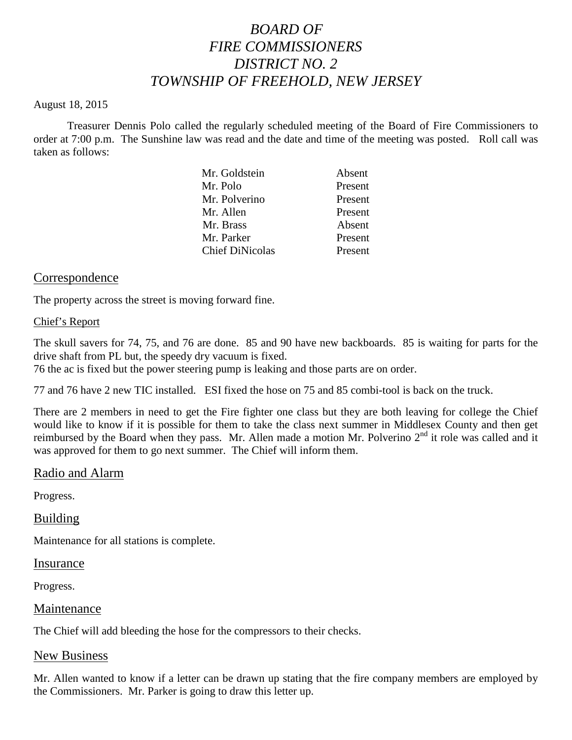# *BOARD OF FIRE COMMISSIONERS DISTRICT NO. 2 TOWNSHIP OF FREEHOLD, NEW JERSEY*

#### August 18, 2015

Treasurer Dennis Polo called the regularly scheduled meeting of the Board of Fire Commissioners to order at 7:00 p.m. The Sunshine law was read and the date and time of the meeting was posted. Roll call was taken as follows:

| Mr. Goldstein          | Absent  |
|------------------------|---------|
| Mr. Polo               | Present |
| Mr. Polverino          | Present |
| Mr. Allen              | Present |
| Mr. Brass              | Absent  |
| Mr. Parker             | Present |
| <b>Chief DiNicolas</b> | Present |
|                        |         |

#### Correspondence

The property across the street is moving forward fine.

#### Chief's Report

The skull savers for 74, 75, and 76 are done. 85 and 90 have new backboards. 85 is waiting for parts for the drive shaft from PL but, the speedy dry vacuum is fixed.

76 the ac is fixed but the power steering pump is leaking and those parts are on order.

77 and 76 have 2 new TIC installed. ESI fixed the hose on 75 and 85 combi-tool is back on the truck.

There are 2 members in need to get the Fire fighter one class but they are both leaving for college the Chief would like to know if it is possible for them to take the class next summer in Middlesex County and then get reimbursed by the Board when they pass. Mr. Allen made a motion Mr. Polverino  $2<sup>nd</sup>$  it role was called and it was approved for them to go next summer. The Chief will inform them.

#### Radio and Alarm

Progress.

#### Building

Maintenance for all stations is complete.

#### Insurance

Progress.

#### Maintenance

The Chief will add bleeding the hose for the compressors to their checks.

#### New Business

Mr. Allen wanted to know if a letter can be drawn up stating that the fire company members are employed by the Commissioners. Mr. Parker is going to draw this letter up.